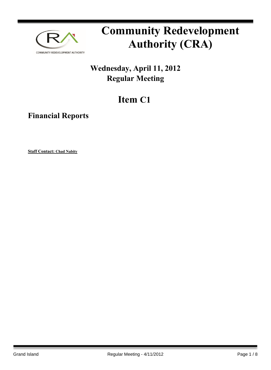

# **Community Redevelopment Authority (CRA)**

### **Wednesday, April 11, 2012 Regular Meeting**

## **Item C1**

**Financial Reports**

**Staff Contact: Chad Nabity**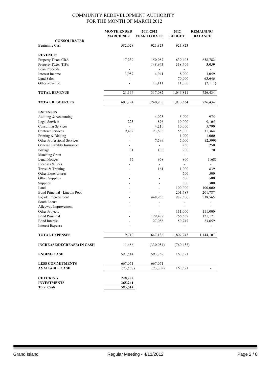|                                   | <b>MONTH ENDED</b>       | 2011-2012                | 2012           | <b>REMAINING</b> |
|-----------------------------------|--------------------------|--------------------------|----------------|------------------|
|                                   | <b>MARCH 2012</b>        | <b>YEAR TO DATE</b>      | <b>BUDGET</b>  | <b>BALANCE</b>   |
| <b>CONSOLIDATED</b>               |                          |                          |                |                  |
| <b>Beginning Cash</b>             | 582,028                  | 923,823                  | 923,823        |                  |
| <b>REVENUE:</b>                   |                          |                          |                |                  |
| Property Taxes-CRA                | 17,239                   | 150,087                  | 639,405        | 658,782          |
| Property Taxes-TIF's              |                          | 148,943                  | 318,406        | 3,059            |
| Loan Proceeds                     |                          |                          |                |                  |
| Interest Income                   | 3,957                    | 4,941                    | 8,000          | 3,059            |
| <b>Land Sales</b>                 |                          |                          | 70,000         | 63,646           |
| Other Revenue                     |                          | 13,111                   | 11,000         | (2,111)          |
|                                   |                          |                          |                |                  |
| <b>TOTAL REVENUE</b>              | 21,196                   | 317,082                  | 1,046,811      | 726,434          |
|                                   |                          |                          |                |                  |
| <b>TOTAL RESOURCES</b>            | 603,224                  | 1,240,905                | 1,970,634      | 726,434          |
| <b>EXPENSES</b>                   |                          |                          |                |                  |
| Auditing & Accounting             |                          | 4,025                    | 5,000          | 975              |
| Legal Services                    | 225                      | 896                      | 10,000         | 9,105            |
| <b>Consulting Services</b>        | ÷.                       | 4,210                    | 10,000         | 5,790            |
| <b>Contract Services</b>          | 9,439                    | 23,636                   | 55,000         | 31,364           |
| Printing & Binding                | $\overline{\phantom{0}}$ | $\overline{\phantom{a}}$ | 1,000          | 1,000            |
| Other Professional Services       |                          | 7,599                    | 5,000          | (2, 599)         |
| General Liability Insurance       | ۰                        | $\overline{\phantom{a}}$ | 250            | 250              |
| Postage                           | 31                       | 130                      | 200            | 70               |
| Matching Grant                    |                          | $\blacksquare$           | ÷,             |                  |
| <b>Legal Notices</b>              | 15                       | 968                      | 800            | (168)            |
| Licenses & Fees                   |                          | $\mathbf{r}$             |                |                  |
| Travel & Training                 |                          | 161                      | 1,000          | 839              |
| Other Expenditures                |                          |                          | 500            | 500              |
| Office Supplies                   |                          |                          | 500            | 500              |
| Supplies                          |                          |                          | 300            | 300              |
| Land                              |                          | $\overline{a}$           | 100,000        | 100,000          |
| Bond Principal - Lincoln Pool     |                          |                          | 201,787        | 201,787          |
| Façade Improvement                |                          | 448,935                  | 987,500        | 538,565          |
| South Locust                      |                          | $\overline{a}$           | $\overline{a}$ |                  |
| Alleyway Improvement              |                          |                          |                |                  |
| Other Projects                    |                          |                          | 111,000        | 111,000          |
| <b>Bond Principal</b>             |                          | 129,488                  | 266,659        | 121,171          |
| <b>Bond Interest</b>              |                          | 27,088                   | 50,747         | 23,659           |
| Interest Expense                  |                          | $\overline{\phantom{a}}$ | -              |                  |
| <b>TOTAL EXPENSES</b>             | 9,710                    | 647,136                  | 1,807,243      | 1,144,107        |
|                                   |                          |                          |                |                  |
| <b>INCREASE(DECREASE) IN CASH</b> | 11,486                   | (330, 054)               | (760, 432)     |                  |
| <b>ENDING CASH</b>                | 593,514                  | 593,769                  | 163,391        |                  |
| <b>LESS COMMITMENTS</b>           | 667,071                  | 667,071                  |                |                  |
| <b>AVAILABLE CASH</b>             | (73, 558)                | (73, 302)                | 163,391        |                  |
|                                   |                          |                          |                |                  |
| <b>CHECKING</b>                   | 228,272                  |                          |                |                  |
| <b>INVESTMENTS</b>                | 365,241                  |                          |                |                  |
| <b>Total Cash</b>                 | 593,514                  |                          |                |                  |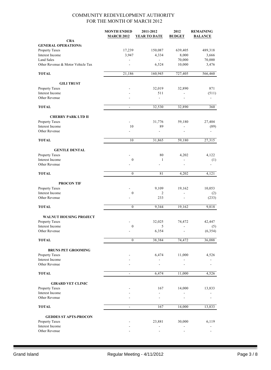|                                   | <b>MONTH ENDED</b><br><b>MARCH 2012</b> | 2011-2012<br><b>YEAR TO DATE</b> | 2012<br><b>BUDGET</b>    | <b>REMAINING</b><br><b>BALANCE</b> |
|-----------------------------------|-----------------------------------------|----------------------------------|--------------------------|------------------------------------|
| <b>CRA</b>                        |                                         |                                  |                          |                                    |
| <b>GENERAL OPERATIONS:</b>        |                                         |                                  |                          |                                    |
| Property Taxes                    | 17,239                                  | 150,087                          | 639,405                  | 489,318                            |
| <b>Interest Income</b>            | 3,947                                   | 4,334                            | 8,000                    | 3,666                              |
| <b>Land Sales</b>                 |                                         | $\mathbf{r}$                     | 70,000                   | 70,000                             |
| Other Revenue & Motor Vehicle Tax |                                         | 6,524                            | 10,000                   | 3,476                              |
| <b>TOTAL</b>                      | 21,186                                  | 160,945                          | 727,405                  | 566,460                            |
| <b>GILI TRUST</b>                 |                                         |                                  |                          |                                    |
| Property Taxes                    |                                         | 32,019                           | 32,890                   | 871                                |
| Interest Income                   |                                         | 511                              |                          | (511)                              |
| Other Revenue                     |                                         | $\overline{a}$                   | ä,                       |                                    |
| <b>TOTAL</b>                      | $\blacksquare$                          | 32,530                           | 32,890                   | 360                                |
| <b>CHERRY PARK LTD II</b>         |                                         |                                  |                          |                                    |
| Property Taxes                    | ÷.                                      | 31,776                           | 59,180                   | 27,404                             |
| Interest Income                   | 10                                      | 89                               | $\overline{\phantom{0}}$ | (89)                               |
| Other Revenue                     |                                         |                                  |                          |                                    |
| <b>TOTAL</b>                      | 10                                      | 31,865                           | 59,180                   | 27,315                             |
| <b>GENTLE DENTAL</b>              |                                         |                                  |                          |                                    |
| Property Taxes                    |                                         | 80                               | 4,202                    | 4,122                              |
| Interest Income                   | $\boldsymbol{0}$                        | $\mathbf{1}$                     | ٠                        | (1)                                |
| Other Revenue                     |                                         |                                  |                          |                                    |
| <b>TOTAL</b>                      | $\boldsymbol{0}$                        | 81                               | 4,202                    | 4,121                              |
| <b>PROCON TIF</b>                 |                                         |                                  |                          |                                    |
| Property Taxes                    |                                         | 9,109                            | 19,162                   | 10,053                             |
| Interest Income                   | $\boldsymbol{0}$                        | 2                                | $\overline{\phantom{a}}$ | (2)                                |
| Other Revenue                     |                                         | 233                              |                          | (233)                              |
| <b>TOTAL</b>                      | $\mathbf{0}$                            | 9,344                            | 19,162                   | 9,818                              |
| <b>WALNUT HOUSING PROJECT</b>     |                                         |                                  |                          |                                    |
| Property Taxes                    |                                         | 32,025                           | 74,472                   | 42,447                             |
| Interest Income                   | $\mathbf{0}$                            | 5                                | $\overline{\phantom{0}}$ | (5)                                |
| Other Revenue                     |                                         | 6,354                            |                          | (6, 354)                           |
| <b>TOTAL</b>                      | $\boldsymbol{0}$                        | 38,384                           | 74,472                   | 36,088                             |
| <b>BRUNS PET GROOMING</b>         |                                         |                                  |                          |                                    |
| Property Taxes                    |                                         | 6,474                            | 11,000                   | 4,526                              |
| Interest Income                   |                                         |                                  |                          |                                    |
| Other Revenue                     |                                         |                                  |                          |                                    |
| <b>TOTAL</b>                      | $\overline{\phantom{a}}$                | 6,474                            | 11,000                   | 4,526                              |
| <b>GIRARD VET CLINIC</b>          |                                         |                                  |                          |                                    |
| Property Taxes                    |                                         | 167                              | 14,000                   | 13,833                             |
| Interest Income                   |                                         |                                  |                          |                                    |
| Other Revenue                     |                                         |                                  |                          |                                    |
| <b>TOTAL</b>                      | $\overline{\phantom{a}}$                | 167                              | 14,000                   | 13,833                             |
| <b>GEDDES ST APTS-PROCON</b>      |                                         |                                  |                          |                                    |
| Property Taxes                    |                                         | 23,881                           | 30,000                   | 6,119                              |
| Interest Income                   |                                         |                                  |                          |                                    |
| Other Revenue                     |                                         |                                  |                          |                                    |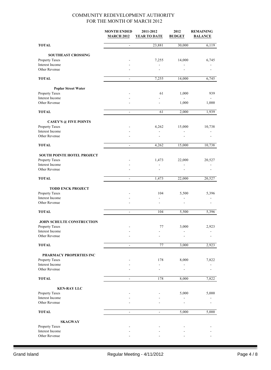|                                   | <b>MONTH ENDED</b><br><b>MARCH 2012</b> | 2011-2012<br><b>YEAR TO DATE</b> | 2012<br><b>BUDGET</b> | <b>REMAINING</b><br><b>BALANCE</b> |
|-----------------------------------|-----------------------------------------|----------------------------------|-----------------------|------------------------------------|
| <b>TOTAL</b>                      | $\overline{a}$                          | 23,881                           | 30,000                | 6,119                              |
| <b>SOUTHEAST CROSSING</b>         |                                         |                                  |                       |                                    |
| Property Taxes                    |                                         | 7,255                            | 14,000                | 6,745                              |
| Interest Income                   |                                         |                                  |                       |                                    |
| Other Revenue                     |                                         |                                  |                       |                                    |
| <b>TOTAL</b>                      | $\blacksquare$                          | 7,255                            | 14,000                | 6,745                              |
| <b>Poplar Street Water</b>        |                                         |                                  |                       |                                    |
| Property Taxes                    |                                         | 61                               | 1,000                 | 939                                |
| Interest Income                   |                                         |                                  |                       |                                    |
| Other Revenue                     |                                         |                                  | 1,000                 | 1,000                              |
| <b>TOTAL</b>                      | $\overline{\phantom{a}}$                | 61                               | 2,000                 | 1,939                              |
| <b>CASEY'S @ FIVE POINTS</b>      |                                         |                                  |                       |                                    |
| Property Taxes                    |                                         | 4,262                            | 15,000                | 10,738                             |
| Interest Income                   |                                         | $\overline{\phantom{a}}$         |                       |                                    |
| Other Revenue                     |                                         |                                  |                       |                                    |
| <b>TOTAL</b>                      | $\equiv$                                | 4,262                            | 15,000                | 10,738                             |
| <b>SOUTH POINTE HOTEL PROJECT</b> |                                         |                                  |                       |                                    |
| Property Taxes                    |                                         | 1,473                            | 22,000                | 20,527                             |
| Interest Income                   |                                         | $\blacksquare$                   |                       |                                    |
| Other Revenue                     |                                         |                                  |                       |                                    |
| <b>TOTAL</b>                      | $\blacksquare$                          | 1,473                            | 22,000                | 20,527                             |
| <b>TODD ENCK PROJECT</b>          |                                         |                                  |                       |                                    |
| Property Taxes                    |                                         | 104                              | 5,500                 | 5,396                              |
| Interest Income                   |                                         |                                  |                       |                                    |
| Other Revenue                     |                                         |                                  |                       |                                    |
| <b>TOTAL</b>                      | $\blacksquare$                          | 104                              | 5,500                 | 5,396                              |
| <b>JOHN SCHULTE CONSTRUCTION</b>  |                                         |                                  |                       |                                    |
| Property Taxes                    |                                         | 77                               | 3,000                 | 2,923                              |
| Interest Income                   |                                         |                                  |                       |                                    |
| Other Revenue                     |                                         |                                  |                       |                                    |
| <b>TOTAL</b>                      | $\overline{\phantom{a}}$                | 77                               | 3,000                 | 2,923                              |
| PHARMACY PROPERTIES INC           |                                         |                                  |                       |                                    |
| Property Taxes                    |                                         | 178                              | 8,000                 | 7,822                              |
| Interest Income                   |                                         |                                  |                       |                                    |
| Other Revenue                     |                                         |                                  |                       |                                    |
| <b>TOTAL</b>                      |                                         | 178                              | 8,000                 | 7,822                              |
| <b>KEN-RAY LLC</b>                |                                         |                                  |                       |                                    |
| Property Taxes                    |                                         |                                  | 5,000                 | 5,000                              |
| Interest Income<br>Other Revenue  |                                         |                                  |                       |                                    |
|                                   |                                         |                                  |                       |                                    |
| <b>TOTAL</b>                      | $\blacksquare$                          | $\overline{\phantom{a}}$         | 5,000                 | 5,000                              |
| <b>SKAGWAY</b>                    |                                         |                                  |                       |                                    |
| Property Taxes                    |                                         |                                  |                       |                                    |
| Interest Income                   |                                         |                                  |                       |                                    |
| Other Revenue                     |                                         |                                  |                       |                                    |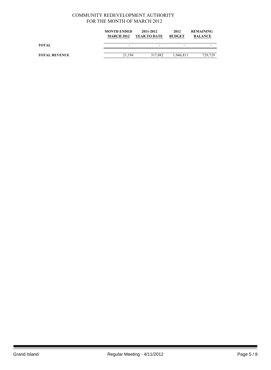|                      | <b>MONTH ENDED</b><br><b>MARCH 2012</b> | 2011-2012<br><b>YEAR TO DATE</b> | 2012<br><b>BUDGET</b> | <b>REMAINING</b><br><b>BALANCE</b> |
|----------------------|-----------------------------------------|----------------------------------|-----------------------|------------------------------------|
| TOTAL                | -                                       | -                                | -                     |                                    |
| <b>TOTAL REVENUE</b> | 21.196                                  | 317.082                          | 1.046.811             | 729,729                            |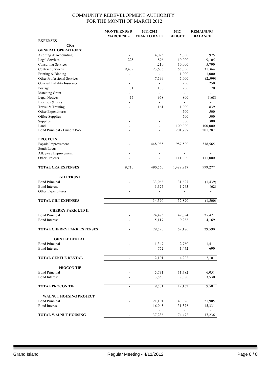|                                                        | <b>MONTH ENDED</b>       | 2011-2012                | 2012            | <b>REMAINING</b>         |
|--------------------------------------------------------|--------------------------|--------------------------|-----------------|--------------------------|
|                                                        | <b>MARCH 2012</b>        | <b>YEAR TO DATE</b>      | <b>BUDGET</b>   | <b>BALANCE</b>           |
| <b>EXPENSES</b>                                        |                          |                          |                 |                          |
| <b>CRA</b>                                             |                          |                          |                 |                          |
| <b>GENERAL OPERATIONS:</b>                             |                          |                          |                 |                          |
| Auditing & Accounting                                  |                          | 4,025                    | 5,000           | 975                      |
| Legal Services                                         | 225                      | 896                      | 10,000          | 9,105                    |
| <b>Consulting Services</b><br><b>Contract Services</b> |                          | 4,210                    | 10,000          | 5,790                    |
|                                                        | 9,439                    | 23,636<br>$\blacksquare$ | 55,000<br>1,000 | 31,364<br>1,000          |
| Printing & Binding<br>Other Professional Services      |                          | 7,599                    | 5,000           | (2, 599)                 |
| General Liability Insurance                            | $\sim$                   | $\overline{\phantom{a}}$ | 250             | 250                      |
| Postage                                                | 31                       | 130                      | 200             | 70                       |
| Matching Grant                                         | $\overline{a}$           | $\blacksquare$           | $\sim$          | ÷.                       |
| <b>Legal Notices</b>                                   | 15                       | 968                      | 800             | (168)                    |
| Licenses & Fees                                        |                          | $\overline{a}$           | $\Box$          | $\overline{\phantom{0}}$ |
| Travel & Training                                      | $\overline{a}$           | 161                      | 1,000           | 839                      |
| Other Expenditures                                     |                          | ٠                        | 500             | 500                      |
| Office Supplies                                        |                          |                          | 500             | 500                      |
| Supplies                                               |                          |                          | 300             | 300                      |
| Land                                                   | ۰                        | $\overline{a}$           | 100,000         | 100,000                  |
| Bond Principal - Lincoln Pool                          |                          |                          | 201,787         | 201,787                  |
|                                                        |                          |                          |                 |                          |
| <b>PROJECTS</b>                                        |                          |                          |                 |                          |
| Façade Improvement                                     |                          | 448,935                  | 987,500         | 538,565                  |
| South Locust                                           |                          | $\overline{a}$           |                 |                          |
| Alleyway Improvement                                   |                          |                          |                 |                          |
| Other Projects                                         |                          |                          | 111,000         | 111,000                  |
| <b>TOTAL CRA EXPENSES</b>                              | 9,710                    | 490,560                  | 1,489,837       | 999,277                  |
|                                                        |                          |                          |                 |                          |
| <b>GILI TRUST</b>                                      |                          |                          |                 |                          |
| <b>Bond Principal</b>                                  |                          | 33,066                   | 31,627          | (1, 439)                 |
| <b>Bond Interest</b>                                   |                          | 1,325                    | 1,263           | (62)                     |
| Other Expenditures                                     |                          |                          |                 |                          |
|                                                        |                          |                          |                 |                          |
| <b>TOTAL GILI EXPENSES</b>                             | $\blacksquare$           | 34,390                   | 32,890          | (1,500)                  |
|                                                        |                          |                          |                 |                          |
| <b>CHERRY PARK LTD II</b>                              |                          |                          |                 |                          |
| <b>Bond Principal</b>                                  |                          | 24,473                   | 49,894          | 25,421                   |
| <b>Bond Interest</b>                                   |                          | 5,117                    | 9,286           | 4,169                    |
|                                                        |                          |                          |                 |                          |
| <b>TOTAL CHERRY PARK EXPENSES</b>                      | $\overline{\phantom{a}}$ | 29,590                   | 59,180          | 29,590                   |
|                                                        |                          |                          |                 |                          |
| <b>GENTLE DENTAL</b>                                   |                          |                          |                 |                          |
| <b>Bond Principal</b>                                  |                          | 1,349                    | 2,760           | 1,411                    |
| <b>Bond Interest</b>                                   |                          | 752                      | 1,442           | 690                      |
|                                                        |                          |                          |                 |                          |
| TOTAL GENTLE DENTAL                                    | $\overline{\phantom{a}}$ | 2,101                    | 4,202           | 2,101                    |
|                                                        |                          |                          |                 |                          |
| <b>PROCON TIF</b>                                      |                          |                          |                 |                          |
| <b>Bond Principal</b>                                  |                          | 5,731                    | 11,782          | 6,051                    |
| <b>Bond Interest</b>                                   |                          | 3,850                    | 7,380           | 3,530                    |
|                                                        |                          |                          |                 |                          |
| <b>TOTAL PROCON TIF</b>                                | $\blacksquare$           | 9,581                    | 19,162          | 9,581                    |
| <b>WALNUT HOUSING PROJECT</b>                          |                          |                          |                 |                          |
| <b>Bond Principal</b>                                  |                          | 21,191                   | 43,096          | 21,905                   |
| <b>Bond Interest</b>                                   |                          | 16,045                   | 31,376          | 15,331                   |
|                                                        |                          |                          |                 |                          |
| <b>TOTAL WALNUT HOUSING</b>                            |                          | 37,236                   | 74,472          | 37,236                   |
|                                                        |                          |                          |                 |                          |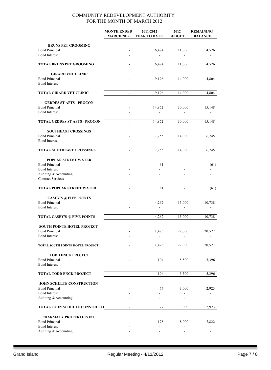|                                                         | <b>MONTH ENDED</b>           | 2011-2012                | 2012                     | <b>REMAINING</b> |
|---------------------------------------------------------|------------------------------|--------------------------|--------------------------|------------------|
|                                                         | <b>MARCH 2012</b>            | <b>YEAR TO DATE</b>      | <b>BUDGET</b>            | <b>BALANCE</b>   |
| <b>BRUNS PET GROOMING</b>                               |                              |                          |                          |                  |
| <b>Bond Principal</b>                                   |                              | 6,474                    | 11,000                   | 4,526            |
| <b>Bond Interest</b>                                    |                              | $\overline{a}$           |                          |                  |
| <b>TOTAL BRUNS PET GROOMING</b>                         | $\blacksquare$               | 6,474                    | 11,000                   | 4,526            |
|                                                         |                              |                          |                          |                  |
| <b>GIRARD VET CLINIC</b><br><b>Bond Principal</b>       |                              | 9,196                    | 14,000                   | 4,804            |
| <b>Bond Interest</b>                                    |                              |                          |                          |                  |
| <b>TOTAL GIRARD VET CLINIC</b>                          | $\qquad \qquad \blacksquare$ | 9,196                    | 14,000                   | 4,804            |
|                                                         |                              |                          |                          |                  |
| <b>GEDDES ST APTS - PROCON</b><br><b>Bond Principal</b> |                              | 14,852                   | 30,000                   | 15,148           |
| <b>Bond Interest</b>                                    |                              | $\blacksquare$           |                          |                  |
|                                                         |                              |                          |                          |                  |
| <b>TOTAL GEDDES ST APTS - PROCON</b>                    | $\mathcal{L}$                | 14,852                   | 30,000                   | 15,148           |
| <b>SOUTHEAST CROSSINGS</b>                              |                              |                          |                          |                  |
| <b>Bond Principal</b>                                   |                              | 7,255                    | 14,000                   | 6,745            |
| <b>Bond Interest</b>                                    |                              |                          |                          |                  |
| <b>TOTAL SOUTHEAST CROSSINGS</b>                        | $\overline{\phantom{a}}$     | 7,255                    | 14,000                   | 6,745            |
| <b>POPLAR STREET WATER</b>                              |                              |                          |                          |                  |
| <b>Bond Principal</b>                                   |                              | 61                       |                          | (61)             |
| <b>Bond Interest</b>                                    |                              |                          |                          |                  |
| Auditing & Accounting                                   |                              |                          |                          |                  |
| <b>Contract Services</b>                                |                              |                          |                          |                  |
| <b>TOTAL POPLAR STREET WATER</b>                        | $\overline{a}$               | 61                       | $\sim$                   | (61)             |
| <b>CASEY'S @ FIVE POINTS</b>                            |                              |                          |                          |                  |
| <b>Bond Principal</b>                                   |                              | 4,262                    | 15,000                   | 10,738           |
| <b>Bond Interest</b>                                    |                              | $\overline{\phantom{a}}$ | $\overline{\phantom{a}}$ |                  |
| <b>TOTAL CASEY'S @ FIVE POINTS</b>                      | $\blacksquare$               | 4,262                    | 15,000                   | 10,738           |
| <b>SOUTH POINTE HOTEL PROJECT</b>                       |                              |                          |                          |                  |
| <b>Bond Principal</b>                                   |                              | 1,473                    | 22,000                   | 20,527           |
| <b>Bond Interest</b>                                    |                              |                          |                          |                  |
|                                                         |                              |                          |                          |                  |
| TOTAL SOUTH POINTE HOTEL PROJECT                        | $\blacksquare$               | 1,473                    | 22,000                   | 20,527           |
| <b>TODD ENCK PROJECT</b>                                |                              |                          |                          |                  |
| <b>Bond Principal</b>                                   |                              | 104                      | 5,500                    | 5,396            |
| <b>Bond Interest</b>                                    |                              |                          |                          |                  |
| <b>TOTAL TODD ENCK PROJECT</b>                          | $\blacksquare$               | 104                      | 5,500                    | 5,396            |
| JOHN SCHULTE CONSTRUCTION                               |                              |                          |                          |                  |
| <b>Bond Principal</b>                                   |                              | 77                       | 3,000                    | 2,923            |
| <b>Bond Interest</b>                                    |                              |                          |                          |                  |
| Auditing & Accounting                                   |                              |                          |                          |                  |
| <b>TOTAL JOHN SCHULTE CONSTRUCIT</b>                    | $\blacksquare$               | 77                       | 3,000                    | 2,923            |
| PHARMACY PROPERTIES INC                                 |                              |                          |                          |                  |
| <b>Bond Principal</b>                                   |                              | 178                      | 8,000                    | 7,822            |
| <b>Bond Interest</b>                                    |                              |                          |                          |                  |
| Auditing & Accounting                                   |                              |                          |                          |                  |